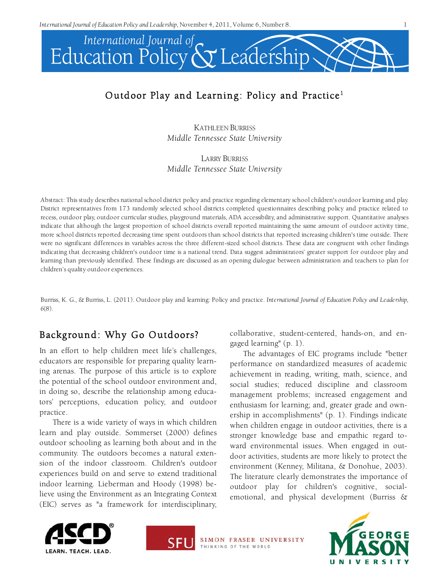

# Outdoor Play and Learning: Policy and Practice<sup>1</sup>

KATHLEEN BURRISS *Middle Tennessee State University*

LARRY BURRISS *Middle Tennessee State University*

Abstract: This study describes national school district policy and practice regarding elementary school children's outdoor learning and play. District representatives from 173 randomly selected school districts completed questionnaires describing policy and practice related to recess, outdoor play, outdoor curricular studies, playground materials, ADA accessibility, and administrative support. Quantitative analyses indicate that although the largest proportion of school districts overall reported maintaining the same amount of outdoor activity time, more school districts reported decreasing time spent outdoors than school districts that reported increasing children's time outside. There were no significant differences in variables across the three different-sized school districts. These data are congruent with other findings indicating that decreasing children's outdoor time is a national trend. Data suggest administrators' greater support for outdoor play and learning than previously identified. These findings are discussed as an opening dialogue between administration and teachers to plan for children's quality outdoor experiences.

Burriss, K. G., & Burriss, L. (2011). Outdoor play and learning: Policy and practice. *International Journal of Education Policy and Leadership, 6*(8).

# Background: Why Go Outdoors?

In an effort to help children meet life's challenges, educators are responsible for preparing quality learning arenas. The purpose of this article is to explore the potential of the school outdoor environment and, in doing so, describe the relationship among educators' perceptions, education policy, and outdoor practice.

There is a wide variety of ways in which children learn and play outside. Sommerset (2000) defines outdoor schooling as learning both about and in the community. The outdoors becomes a natural extension of the indoor classroom. Children's outdoor experiences build on and serve to extend traditional indoor learning. Lieberman and Hoody (1998) believe using the Environment as an Integrating Context (EIC) serves as "a framework for interdisciplinary,

collaborative, student-centered, hands-on, and engaged learning" (p. 1).

The advantages of EIC programs include "better performance on standardized measures of academic achievement in reading, writing, math, science, and social studies; reduced discipline and classroom management problems; increased engagement and enthusiasm for learning; and, greater grade and ownership in accomplishments" (p. 1). Findings indicate when children engage in outdoor activities, there is a stronger knowledge base and empathic regard toward environmental issues. When engaged in outdoor activities, students are more likely to protect the environment (Kenney, Militana, & Donohue, 2003). The literature clearly demonstrates the importance of outdoor play for children's cognitive, socialemotional, and physical development (Burriss &





SIMON FRASER UNIVERSITY THINKING OF THE WORLD

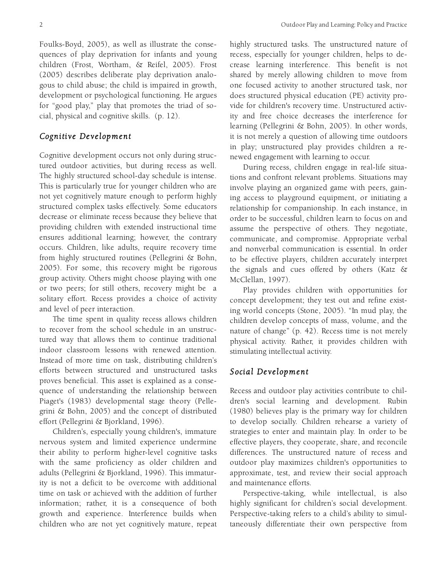Foulks-Boyd, 2005), as well as illustrate the consequences of play deprivation for infants and young children (Frost, Wortham, & Reifel, 2005). Frost (2005) describes deliberate play deprivation analogous to child abuse; the child is impaired in growth, development or psychological functioning. He argues for "good play," play that promotes the triad of social, physical and cognitive skills. (p. 12).

### *Cognitive Development*

Cognitive development occurs not only during structured outdoor activities, but during recess as well. The highly structured school-day schedule is intense. This is particularly true for younger children who are not yet cognitively mature enough to perform highly structured complex tasks effectively. Some educators decrease or eliminate recess because they believe that providing children with extended instructional time ensures additional learning; however, the contrary occurs. Children, like adults, require recovery time from highly structured routines (Pellegrini & Bohn, 2005). For some, this recovery might be rigorous group activity. Others might choose playing with one or two peers; for still others, recovery might be a solitary effort. Recess provides a choice of activity and level of peer interaction.

The time spent in quality recess allows children to recover from the school schedule in an unstructured way that allows them to continue traditional indoor classroom lessons with renewed attention. Instead of more time on task, distributing children's efforts between structured and unstructured tasks proves beneficial. This asset is explained as a consequence of understanding the relationship between Piaget's (1983) developmental stage theory (Pellegrini & Bohn, 2005) and the concept of distributed effort (Pellegrini & Bjorkland, 1996).

Children's, especially young children's, immature nervous system and limited experience undermine their ability to perform higher-level cognitive tasks with the same proficiency as older children and adults (Pellegrini & Bjorkland, 1996). This immaturity is not a deficit to be overcome with additional time on task or achieved with the addition of further information; rather, it is a consequence of both growth and experience. Interference builds when children who are not yet cognitively mature, repeat

highly structured tasks. The unstructured nature of recess, especially for younger children, helps to decrease learning interference. This benefit is not shared by merely allowing children to move from one focused activity to another structured task, nor does structured physical education (PE) activity provide for children's recovery time. Unstructured activity and free choice decreases the interference for learning (Pellegrini & Bohn, 2005). In other words, it is not merely a question of allowing time outdoors in play; unstructured play provides children a renewed engagement with learning to occur.

During recess, children engage in real-life situations and confront relevant problems. Situations may involve playing an organized game with peers, gaining access to playground equipment, or initiating a relationship for companionship. In each instance, in order to be successful, children learn to focus on and assume the perspective of others. They negotiate, communicate, and compromise. Appropriate verbal and nonverbal communication is essential. In order to be effective players, children accurately interpret the signals and cues offered by others (Katz & McClellan, 1997).

Play provides children with opportunities for concept development; they test out and refine existing world concepts (Stone, 2005). "In mud play, the children develop concepts of mass, volume, and the nature of change" (p. 42). Recess time is not merely physical activity. Rather, it provides children with stimulating intellectual activity.

#### *Social Development*

Recess and outdoor play activities contribute to children's social learning and development. Rubin (1980) believes play is the primary way for children to develop socially. Children rehearse a variety of strategies to enter and maintain play. In order to be effective players, they cooperate, share, and reconcile differences. The unstructured nature of recess and outdoor play maximizes children's opportunities to approximate, test, and review their social approach and maintenance efforts.

Perspective-taking, while intellectual, is also highly significant for children's social development. Perspective-taking refers to a child's ability to simultaneously differentiate their own perspective from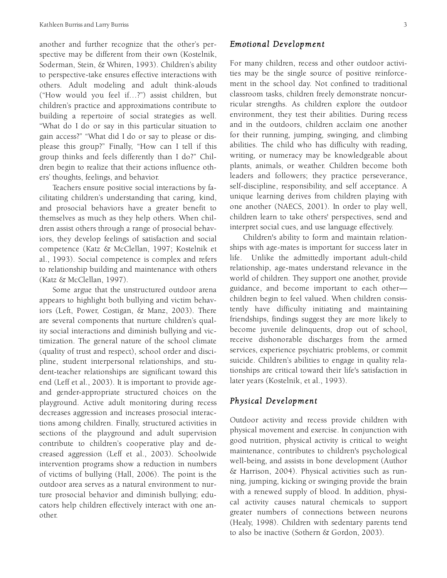another and further recognize that the other's perspective may be different from their own (Kostelnik, Soderman, Stein, & Whiren, 1993). Children's ability to perspective-take ensures effective interactions with others. Adult modeling and adult think-alouds ("How would you feel if…?") assist children, but children's practice and approximations contribute to building a repertoire of social strategies as well. "What do I do or say in this particular situation to gain access?" "What did I do or say to please or displease this group?" Finally, "How can I tell if this group thinks and feels differently than I do?" Children begin to realize that their actions influence others' thoughts, feelings, and behavior.

Teachers ensure positive social interactions by facilitating children's understanding that caring, kind, and prosocial behaviors have a greater benefit to themselves as much as they help others. When children assist others through a range of prosocial behaviors, they develop feelings of satisfaction and social competence (Katz & McClellan, 1997; Kostelnik et al., 1993). Social competence is complex and refers to relationship building and maintenance with others (Katz & McClellan, 1997).

Some argue that the unstructured outdoor arena appears to highlight both bullying and victim behaviors (Left, Power, Costigan, & Manz, 2003). There are several components that nurture children's quality social interactions and diminish bullying and victimization. The general nature of the school climate (quality of trust and respect), school order and discipline, student interpersonal relationships, and student-teacher relationships are significant toward this end (Leff et al., 2003). It is important to provide ageand gender-appropriate structured choices on the playground. Active adult monitoring during recess decreases aggression and increases prosocial interactions among children. Finally, structured activities in sections of the playground and adult supervision contribute to children's cooperative play and decreased aggression (Leff et al., 2003). Schoolwide intervention programs show a reduction in numbers of victims of bullying (Hall, 2006). The point is the outdoor area serves as a natural environment to nurture prosocial behavior and diminish bullying; educators help children effectively interact with one another.

#### *Emotional Development*

For many children, recess and other outdoor activities may be the single source of positive reinforcement in the school day. Not confined to traditional classroom tasks, children freely demonstrate noncurricular strengths. As children explore the outdoor environment, they test their abilities. During recess and in the outdoors, children acclaim one another for their running, jumping, swinging, and climbing abilities. The child who has difficulty with reading, writing, or numeracy may be knowledgeable about plants, animals, or weather. Children become both leaders and followers; they practice perseverance, self-discipline, responsibility, and self acceptance. A unique learning derives from children playing with one another (NAECS, 2001). In order to play well, children learn to take others' perspectives, send and interpret social cues, and use language effectively.

Children's ability to form and maintain relationships with age-mates is important for success later in life. Unlike the admittedly important adult-child relationship, age-mates understand relevance in the world of children. They support one another, provide guidance, and become important to each other children begin to feel valued. When children consistently have difficulty initiating and maintaining friendships, findings suggest they are more likely to become juvenile delinquents, drop out of school, receive dishonorable discharges from the armed services, experience psychiatric problems, or commit suicide. Children's abilities to engage in quality relationships are critical toward their life's satisfaction in later years (Kostelnik, et al., 1993).

### *Physical Development*

Outdoor activity and recess provide children with physical movement and exercise. In conjunction with good nutrition, physical activity is critical to weight maintenance, contributes to children's psychological well-being, and assists in bone development (Author & Harrison, 2004). Physical activities such as running, jumping, kicking or swinging provide the brain with a renewed supply of blood. In addition, physical activity causes natural chemicals to support greater numbers of connections between neurons (Healy, 1998). Children with sedentary parents tend to also be inactive (Sothern & Gordon, 2003).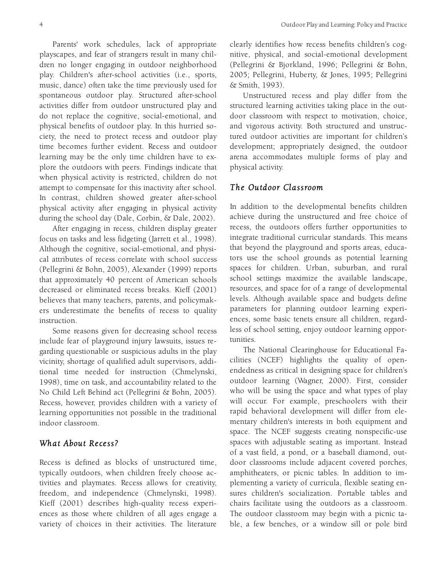Parents' work schedules, lack of appropriate playscapes, and fear of strangers result in many children no longer engaging in outdoor neighborhood play. Children's after-school activities (i.e., sports, music, dance) often take the time previously used for spontaneous outdoor play. Structured after-school activities differ from outdoor unstructured play and do not replace the cognitive, social-emotional, and physical benefits of outdoor play. In this hurried society, the need to protect recess and outdoor play time becomes further evident. Recess and outdoor learning may be the only time children have to explore the outdoors with peers. Findings indicate that when physical activity is restricted, children do not attempt to compensate for this inactivity after school. In contrast, children showed greater after-school physical activity after engaging in physical activity during the school day (Dale, Corbin, & Dale, 2002).

After engaging in recess, children display greater focus on tasks and less fidgeting (Jarrett et al., 1998). Although the cognitive, social-emotional, and physical attributes of recess correlate with school success (Pellegrini & Bohn, 2005), Alexander (1999) reports that approximately 40 percent of American schools decreased or eliminated recess breaks. Kieff (2001) believes that many teachers, parents, and policymakers underestimate the benefits of recess to quality instruction.

Some reasons given for decreasing school recess include fear of playground injury lawsuits, issues regarding questionable or suspicious adults in the play vicinity, shortage of qualified adult supervisors, additional time needed for instruction (Chmelynski, 1998), time on task, and accountability related to the No Child Left Behind act (Pellegrini & Bohn, 2005). Recess, however, provides children with a variety of learning opportunities not possible in the traditional indoor classroom.

### *What About Recess?*

Recess is defined as blocks of unstructured time, typically outdoors, when children freely choose activities and playmates. Recess allows for creativity, freedom, and independence (Chmelynski, 1998). Kieff (2001) describes high-quality recess experiences as those where children of all ages engage a variety of choices in their activities. The literature clearly identifies how recess benefits children's cognitive, physical, and social-emotional development (Pellegrini & Bjorkland, 1996; Pellegrini & Bohn, 2005; Pellegrini, Huberty, & Jones, 1995; Pellegrini & Smith, 1993).

Unstructured recess and play differ from the structured learning activities taking place in the outdoor classroom with respect to motivation, choice, and vigorous activity. Both structured and unstructured outdoor activities are important for children's development; appropriately designed, the outdoor arena accommodates multiple forms of play and physical activity.

### *The Outdoor Classroom*

In addition to the developmental benefits children achieve during the unstructured and free choice of recess, the outdoors offers further opportunities to integrate traditional curricular standards. This means that beyond the playground and sports areas, educators use the school grounds as potential learning spaces for children. Urban, suburban, and rural school settings maximize the available landscape, resources, and space for of a range of developmental levels. Although available space and budgets define parameters for planning outdoor learning experiences, some basic tenets ensure all children, regardless of school setting, enjoy outdoor learning opportunities.

The National Clearinghouse for Educational Facilities (NCEF) highlights the quality of openendedness as critical in designing space for children's outdoor learning (Wagner, 2000). First, consider who will be using the space and what types of play will occur. For example, preschoolers with their rapid behavioral development will differ from elementary children's interests in both equipment and space. The NCEF suggests creating nonspecific-use spaces with adjustable seating as important. Instead of a vast field, a pond, or a baseball diamond, outdoor classrooms include adjacent covered porches, amphitheaters, or picnic tables. In addition to implementing a variety of curricula, flexible seating ensures children's socialization. Portable tables and chairs facilitate using the outdoors as a classroom. The outdoor classroom may begin with a picnic table, a few benches, or a window sill or pole bird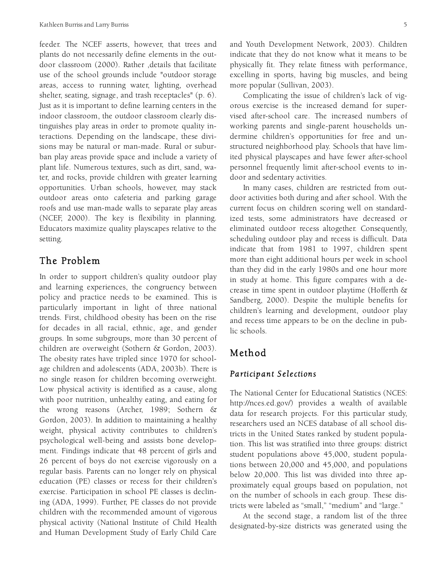feeder. The NCEF asserts, however, that trees and plants do not necessarily define elements in the outdoor classroom (2000). Rather ,details that facilitate use of the school grounds include "outdoor storage areas, access to running water, lighting, overhead shelter, seating, signage, and trash receptacles" (p. 6). Just as it is important to define learning centers in the indoor classroom, the outdoor classroom clearly distinguishes play areas in order to promote quality interactions. Depending on the landscape, these divisions may be natural or man-made. Rural or suburban play areas provide space and include a variety of plant life. Numerous textures, such as dirt, sand, water, and rocks, provide children with greater learning opportunities. Urban schools, however, may stack outdoor areas onto cafeteria and parking garage roofs and use man-made walls to separate play areas (NCEF, 2000). The key is flexibility in planning. Educators maximize quality playscapes relative to the setting.

### The Problem

In order to support children's quality outdoor play and learning experiences, the congruency between policy and practice needs to be examined. This is particularly important in light of three national trends. First, childhood obesity has been on the rise for decades in all racial, ethnic, age, and gender groups. In some subgroups, more than 30 percent of children are overweight (Sothern & Gordon, 2003). The obesity rates have tripled since 1970 for schoolage children and adolescents (ADA, 2003b). There is no single reason for children becoming overweight. Low physical activity is identified as a cause, along with poor nutrition, unhealthy eating, and eating for the wrong reasons (Archer, 1989; Sothern & Gordon, 2003). In addition to maintaining a healthy weight, physical activity contributes to children's psychological well-being and assists bone development. Findings indicate that 48 percent of girls and 26 percent of boys do not exercise vigorously on a regular basis. Parents can no longer rely on physical education (PE) classes or recess for their children's exercise. Participation in school PE classes is declining (ADA, 1999). Further, PE classes do not provide children with the recommended amount of vigorous physical activity (National Institute of Child Health and Human Development Study of Early Child Care

and Youth Development Network, 2003). Children indicate that they do not know what it means to be physically fit. They relate fitness with performance, excelling in sports, having big muscles, and being more popular (Sullivan, 2003).

Complicating the issue of children's lack of vigorous exercise is the increased demand for supervised after-school care. The increased numbers of working parents and single-parent households undermine children's opportunities for free and unstructured neighborhood play. Schools that have limited physical playscapes and have fewer after-school personnel frequently limit after-school events to indoor and sedentary activities.

In many cases, children are restricted from outdoor activities both during and after school. With the current focus on children scoring well on standardized tests, some administrators have decreased or eliminated outdoor recess altogether. Consequently, scheduling outdoor play and recess is difficult. Data indicate that from 1981 to 1997, children spent more than eight additional hours per week in school than they did in the early 1980s and one hour more in study at home. This figure compares with a decrease in time spent in outdoor playtime (Hofferth & Sandberg, 2000). Despite the multiple benefits for children's learning and development, outdoor play and recess time appears to be on the decline in public schools.

## Method

### *Participant Selections*

The National Center for Educational Statistics (NCES: http://nces.ed.gov/) provides a wealth of available data for research projects. For this particular study, researchers used an NCES database of all school districts in the United States ranked by student population. This list was stratified into three groups: district student populations above 45,000, student populations between 20,000 and 45,000, and populations below 20,000. This list was divided into three approximately equal groups based on population, not on the number of schools in each group. These districts were labeled as "small," "medium" and "large."

At the second stage, a random list of the three designated-by-size districts was generated using the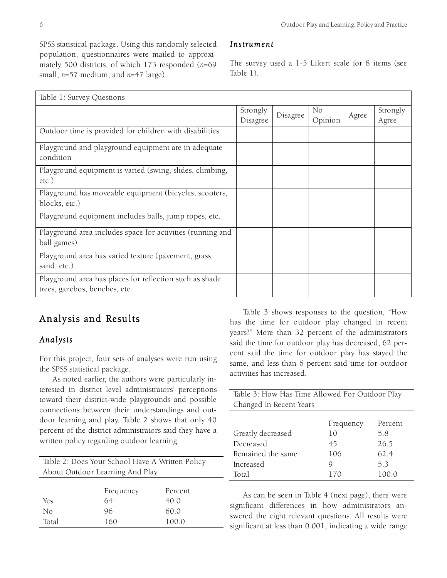SPSS statistical package. Using this randomly selected population, questionnaires were mailed to approximately 500 districts, of which 173 responded (*n*=69 small, *n*=57 medium, and *n*=47 large).

### *Instrument*

The survey used a 1-5 Likert scale for 8 items (see Table 1).

| Table 1: Survey Questions                                                                |                      |          |                           |       |                   |
|------------------------------------------------------------------------------------------|----------------------|----------|---------------------------|-------|-------------------|
|                                                                                          | Strongly<br>Disagree | Disagree | N <sub>o</sub><br>Opinion | Agree | Strongly<br>Agree |
| Outdoor time is provided for children with disabilities                                  |                      |          |                           |       |                   |
| Playground and playground equipment are in adequate<br>condition                         |                      |          |                           |       |                   |
| Playground equipment is varied (swing, slides, climbing,<br>$etc.$ )                     |                      |          |                           |       |                   |
| Playground has moveable equipment (bicycles, scooters,<br>blocks, etc.)                  |                      |          |                           |       |                   |
| Playground equipment includes balls, jump ropes, etc.                                    |                      |          |                           |       |                   |
| Playground area includes space for activities (running and<br>ball games)                |                      |          |                           |       |                   |
| Playground area has varied texture (pavement, grass,<br>sand, etc.)                      |                      |          |                           |       |                   |
| Playground area has places for reflection such as shade<br>trees, gazebos, benches, etc. |                      |          |                           |       |                   |

# Analysis and Results

### *Analysis*

For this project, four sets of analyses were run using the SPSS statistical package.

As noted earlier, the authors were particularly interested in district level administrators' perceptions toward their district-wide playgrounds and possible connections between their understandings and outdoor learning and play. Table 2 shows that only 40 percent of the district administrators said they have a written policy regarding outdoor learning.

Table 2: Does Your School Have A Written Policy About Outdoor Learning And Play

|       | Frequency | Percent |
|-------|-----------|---------|
| Yes   | 64        | 40.0    |
| Nο    | 96        | 60.0    |
| Total | 160       | 100.0   |

Table 3 shows responses to the question, "How has the time for outdoor play changed in recent years?" More than 32 percent of the administrators said the time for outdoor play has decreased, 62 percent said the time for outdoor play has stayed the same, and less than 6 percent said time for outdoor activities has increased.

| Table 3: How Has Time Allowed For Outdoor Play |           |         |  |  |  |
|------------------------------------------------|-----------|---------|--|--|--|
| Changed In Recent Years                        |           |         |  |  |  |
|                                                |           |         |  |  |  |
|                                                | Frequency | Percent |  |  |  |
| Greatly decreased                              | 10        | 58      |  |  |  |
| Decreased                                      | 45        | 26.5    |  |  |  |
| Remained the same                              | 106       | 62.4    |  |  |  |
| Increased                                      |           | 53      |  |  |  |
| Total                                          | 170       | 100.0   |  |  |  |

As can be seen in Table 4 (next page), there were significant differences in how administrators answered the eight relevant questions. All results were significant at less than 0.001, indicating a wide range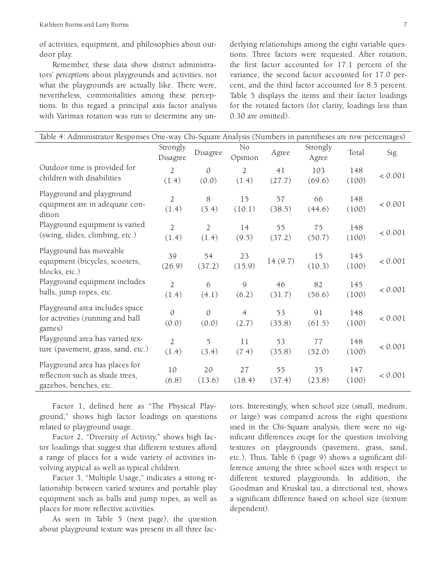of activities, equipment, and philosophies about outdoor play.

Remember, these data show district administrators' *perceptions* about playgrounds and activities, not what the playgrounds are actually like. There were, nevertheless, commonalities among these perceptions. In this regard a principal axis factor analysis with Varimax rotation was run to determine any underlying relationships among the eight variable questions. Three factors were requested. After rotation, the first factor accounted for 17.1 percent of the variance, the second factor accounted for 17.0 percent, and the third factor accounted for 8.5 percent. Table 5 displays the items and their factor loadings for the rotated factors (for clarity, loadings less than 0.30 are omitted).

| Table 4: Administrator Responses One-way Chi-Square Analysis (Numbers in parentheses are row percentages) |                         |                         |                           |              |                   |              |         |
|-----------------------------------------------------------------------------------------------------------|-------------------------|-------------------------|---------------------------|--------------|-------------------|--------------|---------|
|                                                                                                           | Strongly<br>Disagree    | Disagree                | N <sub>o</sub><br>Opinion | Agree        | Strongly<br>Agree | Total        | Sig.    |
| Outdoor time is provided for<br>children with disabilities                                                | $\overline{2}$<br>(1.4) | $\mathbf{0}$<br>(0.0)   | $\overline{2}$<br>(1.4)   | 41<br>(27.7) | 103<br>(69.6)     | 148<br>(100) | < 0.001 |
| Playground and playground<br>equipment are in adequate con-<br>dition                                     | $\overline{2}$<br>(1.4) | 8<br>(5.4)              | 15<br>(10.1)              | 57<br>(38.5) | 66<br>(44.6)      | 148<br>(100) | < 0.001 |
| Playground equipment is varied<br>(swing, slides, climbing, etc.)                                         | $\overline{2}$<br>(1.4) | $\overline{2}$<br>(1.4) | 14<br>(9.5)               | 55<br>(37.2) | 75<br>(50.7)      | 148<br>(100) | < 0.001 |
| Playground has moveable<br>equipment (bicycles, scooters,<br>blocks, etc.)                                | 39<br>(26.9)            | 54<br>(37.2)            | 23<br>(15.9)              | 14(9.7)      | 15<br>(10.3)      | 145<br>(100) | < 0.001 |
| Playground equipment includes<br>balls, jump ropes, etc.                                                  | $\overline{2}$<br>(1.4) | 6<br>(4.1)              | 9<br>(6.2)                | 46<br>(31.7) | 82<br>(56.6)      | 145<br>(100) | < 0.001 |
| Playground area includes space<br>for activities (running and ball<br>games)                              | $\mathcal{O}$<br>(0.0)  | $\mathcal{O}$<br>(0.0)  | $\overline{4}$<br>(2.7)   | 53<br>(35.8) | 91<br>(61.5)      | 148<br>(100) | < 0.001 |
| Playground area has varied tex-<br>ture (pavement, grass, sand, etc.)                                     | $\overline{2}$<br>(1.4) | 5<br>(3.4)              | 11<br>(7.4)               | 53<br>(35.8) | 77<br>(52.0)      | 148<br>(100) | < 0.001 |
| Playground area has places for<br>reflection such as shade trees,<br>gazebos, benches, etc.               | 10<br>(6.8)             | 20<br>(13.6)            | 27<br>(18.4)              | 55<br>(37.4) | 35<br>(23.8)      | 147<br>(100) | < 0.001 |

Factor 1, defined here as "The Physical Playground," shows high factor loadings on questions related to playground usage.

Factor 2, "Diversity of Activity," shows high factor loadings that suggest that different textures afford a range of places for a wide variety of activities involving atypical as well as typical children.

Factor 3, "Multiple Usage," indicates a strong relationship between varied textures and portable play equipment such as balls and jump ropes, as well as places for more reflective activities.

As seen in Table 5 (next page), the question about playground texture was present in all three factors. Interestingly, when school size (small, medium, or large) was compared across the eight questions used in the Chi-Square analysis, there were no significant differences *except* for the question involving textures on playgrounds (pavement, grass, sand, etc.). Thus, Table 6 (page 9) shows a significant difference among the three school sizes with respect to different textured playgrounds. In addition, the Goodman and Kruskal tau, a directional test, shows a significant difference based on school size (texture dependent).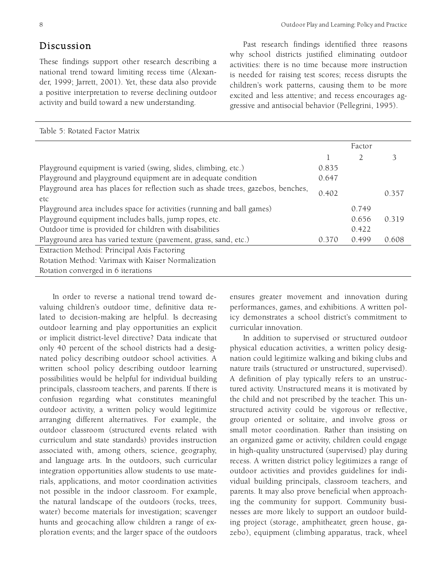### Discussion

These findings support other research describing a national trend toward limiting recess time (Alexander, 1999; Jarrett, 2001). Yet, these data also provide a positive interpretation to reverse declining outdoor activity and build toward a new understanding.

Past research findings identified three reasons why school districts justified eliminating outdoor activities: there is no time because more instruction is needed for raising test scores; recess disrupts the children's work patterns, causing them to be more excited and less attentive; and recess encourages aggressive and antisocial behavior (Pellegrini, 1995).

| Table 5: Rotated Factor Matrix                                                          |       |        |       |
|-----------------------------------------------------------------------------------------|-------|--------|-------|
|                                                                                         |       | Factor |       |
|                                                                                         |       |        | 3     |
| Playground equipment is varied (swing, slides, climbing, etc.)                          | 0.835 |        |       |
| Playground and playground equipment are in adequate condition                           | 0.647 |        |       |
| Playground area has places for reflection such as shade trees, gazebos, benches,<br>etc | 0.402 |        | 0.357 |
| Playground area includes space for activities (running and ball games)                  |       | 0.749  |       |
| Playground equipment includes balls, jump ropes, etc.                                   |       | 0.656  | 0.319 |
| Outdoor time is provided for children with disabilities                                 |       | 0.422  |       |
| Playground area has varied texture (pavement, grass, sand, etc.)                        | 0.370 | 0.499  | 0.608 |
| Extraction Method: Principal Axis Factoring                                             |       |        |       |
| Rotation Method: Varimax with Kaiser Normalization                                      |       |        |       |
| Rotation converged in 6 iterations                                                      |       |        |       |

In order to reverse a national trend toward devaluing children's outdoor time, definitive data related to decision-making are helpful. Is decreasing outdoor learning and play opportunities an explicit or implicit district-level directive? Data indicate that only 40 percent of the school districts had a designated policy describing outdoor school activities. A written school policy describing outdoor learning possibilities would be helpful for individual building principals, classroom teachers, and parents. If there is confusion regarding what constitutes meaningful outdoor activity, a written policy would legitimize arranging different alternatives. For example, the outdoor classroom (structured events related with curriculum and state standards) provides instruction associated with, among others, science, geography, and language arts. In the outdoors, such curricular integration opportunities allow students to use materials, applications, and motor coordination activities not possible in the indoor classroom. For example, the natural landscape of the outdoors (rocks, trees, water) become materials for investigation; scavenger hunts and geocaching allow children a range of exploration events; and the larger space of the outdoors

ensures greater movement and innovation during performances, games, and exhibitions. A written policy demonstrates a school district's commitment to curricular innovation.

In addition to supervised or structured outdoor physical education activities, a written policy designation could legitimize walking and biking clubs and nature trails (structured or unstructured, supervised). A definition of play typically refers to an unstructured activity. Unstructured means it is motivated by the child and not prescribed by the teacher. This unstructured activity could be vigorous or reflective, group oriented or solitaire, and involve gross or small motor coordination. Rather than insisting on an organized game or activity, children could engage in high-quality unstructured (supervised) play during recess. A written district policy legitimizes a range of outdoor activities and provides guidelines for individual building principals, classroom teachers, and parents. It may also prove beneficial when approaching the community for support. Community businesses are more likely to support an outdoor building project (storage, amphitheater, green house, gazebo), equipment (climbing apparatus, track, wheel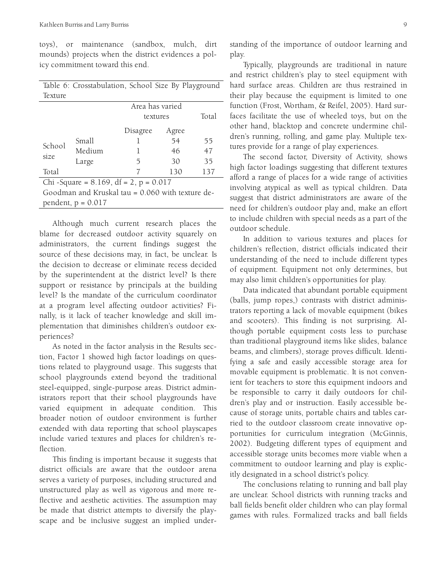toys), or maintenance (sandbox, mulch, dirt mounds) projects when the district evidences a policy commitment toward this end.

| Table 6: Crosstabulation, School Size By Playground |                      |                                             |                                 |     |
|-----------------------------------------------------|----------------------|---------------------------------------------|---------------------------------|-----|
| Texture                                             |                      |                                             |                                 |     |
|                                                     |                      | Area has varied                             |                                 |     |
|                                                     |                      | textures                                    | Total                           |     |
|                                                     |                      | Disagree                                    | Agree                           |     |
| School                                              | Small                |                                             | 54                              | 55  |
| Medium<br>size<br>Large                             |                      | 46                                          | 47                              |     |
|                                                     |                      | 5                                           | 30                              | 35  |
| Total                                               |                      |                                             | 130                             | 137 |
| $\sim$ $\sim$                                       | $\cap$ $\cap$ $\cap$ | 10 <sup>°</sup><br>$\overline{\phantom{1}}$ | $\wedge$ $\wedge$ $\rightarrow$ |     |

Chi -Square =  $8.169$ , df =  $2$ , p =  $0.017$ Goodman and Kruskal tau = 0.060 with texture dependent,  $p = 0.017$ 

Although much current research places the blame for decreased outdoor activity squarely on administrators, the current findings suggest the source of these decisions may, in fact, be unclear. Is the decision to decrease or eliminate recess decided by the superintendent at the district level? Is there support or resistance by principals at the building level? Is the mandate of the curriculum coordinator at a program level affecting outdoor activities? Finally, is it lack of teacher knowledge and skill implementation that diminishes children's outdoor experiences?

As noted in the factor analysis in the Results section, Factor 1 showed high factor loadings on questions related to playground usage. This suggests that school playgrounds extend beyond the traditional steel-equipped, single-purpose areas. District administrators report that their school playgrounds have varied equipment in adequate condition. This broader notion of outdoor environment is further extended with data reporting that school playscapes include varied textures and places for children's reflection.

This finding is important because it suggests that district officials are aware that the outdoor arena serves a variety of purposes, including structured and unstructured play as well as vigorous and more reflective and aesthetic activities. The assumption may be made that district attempts to diversify the playscape and be inclusive suggest an implied under-

Typically, playgrounds are traditional in nature and restrict children's play to steel equipment with hard surface areas. Children are thus restrained in their play because the equipment is limited to one function (Frost, Wortham, & Reifel, 2005). Hard surfaces facilitate the use of wheeled toys, but on the other hand, blacktop and concrete undermine children's running, rolling, and game play. Multiple textures provide for a range of play experiences.

The second factor, Diversity of Activity, shows high factor loadings suggesting that different textures afford a range of places for a wide range of activities involving atypical as well as typical children. Data suggest that district administrators are aware of the need for children's outdoor play and, make an effort to include children with special needs as a part of the outdoor schedule.

In addition to various textures and places for children's reflection, district officials indicated their understanding of the need to include different types of equipment. Equipment not only determines, but may also limit children's opportunities for play.

Data indicated that abundant portable equipment (balls, jump ropes,) contrasts with district administrators reporting a lack of movable equipment (bikes and scooters). This finding is not surprising. Although portable equipment costs less to purchase than traditional playground items like slides, balance beams, and climbers), storage proves difficult. Identifying a safe and easily accessible storage area for movable equipment is problematic. It is not convenient for teachers to store this equipment indoors and be responsible to carry it daily outdoors for children's play and or instruction. Easily accessible because of storage units, portable chairs and tables carried to the outdoor classroom create innovative opportunities for curriculum integration (McGinnis, 2002). Budgeting different types of equipment and accessible storage units becomes more viable when a commitment to outdoor learning and play is explicitly designated in a school district's policy.

The conclusions relating to running and ball play are unclear. School districts with running tracks and ball fields benefit older children who can play formal games with rules. Formalized tracks and ball fields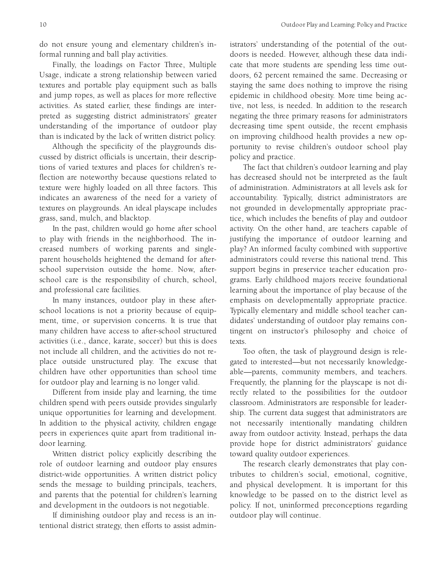do not ensure young and elementary children's informal running and ball play activities.

Finally, the loadings on Factor Three, Multiple Usage, indicate a strong relationship between varied textures and portable play equipment such as balls and jump ropes, as well as places for more reflective activities. As stated earlier, these findings are interpreted as suggesting district administrators' greater understanding of the importance of outdoor play than is indicated by the lack of written district policy.

Although the specificity of the playgrounds discussed by district officials is uncertain, their descriptions of varied textures and places for children's reflection are noteworthy because questions related to texture were highly loaded on all three factors. This indicates an awareness of the need for a variety of textures on playgrounds. An ideal playscape includes grass, sand, mulch, and blacktop.

In the past, children would go home after school to play with friends in the neighborhood. The increased numbers of working parents and singleparent households heightened the demand for afterschool supervision outside the home. Now, afterschool care is the responsibility of church, school, and professional care facilities.

In many instances, outdoor play in these afterschool locations is not a priority because of equipment, time, or supervision concerns. It is true that many children have access to after-school structured activities (i.e., dance, karate, soccer) but this is does not include all children, and the activities do not replace outside unstructured play. The excuse that children have other opportunities than school time for outdoor play and learning is no longer valid.

Different from inside play and learning, the time children spend with peers outside provides singularly unique opportunities for learning and development. In addition to the physical activity, children engage peers in experiences quite apart from traditional indoor learning.

Written district policy explicitly describing the role of outdoor learning and outdoor play ensures district-wide opportunities. A written district policy sends the message to building principals, teachers, and parents that the potential for children's learning and development in the outdoors is not negotiable.

If diminishing outdoor play and recess is an intentional district strategy, then efforts to assist administrators' understanding of the potential of the outdoors is needed. However, although these data indicate that more students are spending less time outdoors, 62 percent remained the same. Decreasing or staying the same does nothing to improve the rising epidemic in childhood obesity. More time being active, not less, is needed. In addition to the research negating the three primary reasons for administrators decreasing time spent outside, the recent emphasis on improving childhood health provides a new opportunity to revise children's outdoor school play policy and practice.

The fact that children's outdoor learning and play has decreased should not be interpreted as the fault of administration. Administrators at all levels ask for accountability. Typically, district administrators are not grounded in developmentally appropriate practice, which includes the benefits of play and outdoor activity. On the other hand, are teachers capable of justifying the importance of outdoor learning and play? An informed faculty combined with supportive administrators could reverse this national trend. This support begins in preservice teacher education programs. Early childhood majors receive foundational learning about the importance of play because of the emphasis on developmentally appropriate practice. Typically elementary and middle school teacher candidates' understanding of outdoor play remains contingent on instructor's philosophy and choice of texts.

Too often, the task of playground design is relegated to interested—but not necessarily knowledgeable—parents, community members, and teachers. Frequently, the planning for the playscape is not directly related to the possibilities for the outdoor classroom. Administrators are responsible for leadership. The current data suggest that administrators are not necessarily intentionally mandating children away from outdoor activity. Instead, perhaps the data provide hope for district administrators' guidance toward quality outdoor experiences.

The research clearly demonstrates that play contributes to children's social, emotional, cognitive, and physical development. It is important for this knowledge to be passed on to the district level as policy. If not, uninformed preconceptions regarding outdoor play will continue.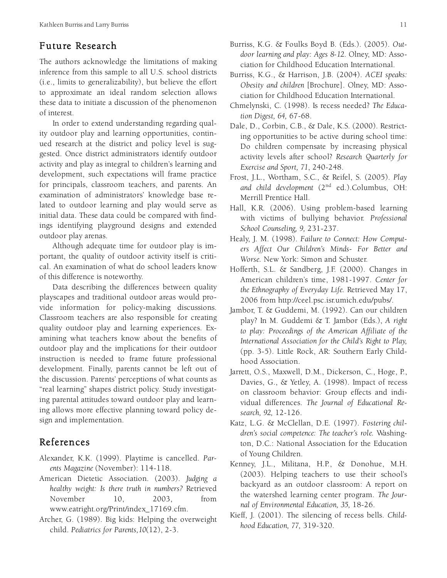## Future Research

The authors acknowledge the limitations of making inference from this sample to all U.S. school districts (i.e., limits to generalizability), but believe the effort to approximate an ideal random selection allows these data to initiate a discussion of the phenomenon of interest.

In order to extend understanding regarding quality outdoor play and learning opportunities, continued research at the district and policy level is suggested. Once district administrators identify outdoor activity and play as integral to children's learning and development, such expectations will frame practice for principals, classroom teachers, and parents. An examination of administrators' knowledge base related to outdoor learning and play would serve as initial data. These data could be compared with findings identifying playground designs and extended outdoor play arenas.

Although adequate time for outdoor play is important, the quality of outdoor activity itself is critical. An examination of what do school leaders know of this difference is noteworthy.

Data describing the differences between quality playscapes and traditional outdoor areas would provide information for policy-making discussions. Classroom teachers are also responsible for creating quality outdoor play and learning experiences. Examining what teachers know about the benefits of outdoor play and the implications for their outdoor instruction is needed to frame future professional development. Finally, parents cannot be left out of the discussion. Parents' perceptions of what counts as "real learning" shapes district policy. Study investigating parental attitudes toward outdoor play and learning allows more effective planning toward policy design and implementation.

## References

- Alexander, K.K. (1999). Playtime is cancelled. *Parents Magazine* (November): 114-118.
- American Dietetic Association. (2003). *Judging a healthy weight: Is there truth in numbers?* Retrieved November 10, 2003, from www.eatright.org/Print/index\_17169.cfm.
- Archer, G. (1989). Big kids: Helping the overweight child. *Pediatrics for Parents,10*(12), 2-3.
- Burriss, K.G. & Foulks Boyd B. (Eds.). (2005). *Outdoor learning and play: Ages 8-12*. Olney, MD: Association for Childhood Education International.
- Burriss, K.G., & Harrison, J.B. (2004). *ACEI speaks: Obesity and children* [Brochure]. Olney, MD: Association for Childhood Education International.
- Chmelynski, C. (1998). Is recess needed? *The Education Digest, 64,* 67-68.
- Dale, D., Corbin, C.B., & Dale, K.S. (2000). Restricting opportunities to be active during school time: Do children compensate by increasing physical activity levels after school? *Research Quarterly for Exercise and Sport, 71*, 240-248.
- Frost, J.L., Wortham, S.C., & Reifel, S. (2005). *Play and child development* (2nd ed.).Columbus, OH: Merrill Prentice Hall.
- Hall, K.R. (2006). Using problem-based learning with victims of bullying behavior. *Professional School Counseling, 9,* 231-237.
- Healy, J. M. (1998). *Failure to Connect: How Computers Affect Our Children's Minds- For Better and Worse.* New York: Simon and Schuster.
- Hofferth, S.L. & Sandberg, J.F. (2000). Changes in American children's time, 1981-1997. *Center for the Ethnography of Everyday Life.* Retrieved May 17, 2006 from http://ceel.psc.isr.umich.edu/pubs/.
- Jambor, T. & Guddemi, M. (1992). Can our children play? In M. Guddemi & T. Jambor (Eds.), *A right to play: Proceedings of the American Affiliate of the International Association for the Child's Right to Play,* (pp. 3-5). Little Rock, AR: Southern Early Childhood Association.
- Jarrett, O.S., Maxwell, D.M., Dickerson, C., Hoge, P., Davies, G., & Yetley, A. (1998). Impact of recess on classroom behavior: Group effects and individual differences. *The Journal of Educational Research, 92,* 12-126.
- Katz, L.G. & McClellan, D.E. (1997). *Fostering children's social competence: The teacher's role.* Washington, D.C.: National Association for the Education of Young Children.
- Kenney, J.L., Militana, H.P., & Donohue, M.H. (2003). Helping teachers to use their school's backyard as an outdoor classroom: A report on the watershed learning center program. *The Journal of Environmental Education, 35,* 18-26.
- Kieff, J. (2001). The silencing of recess bells. *Childhood Education, 77,* 319-320.